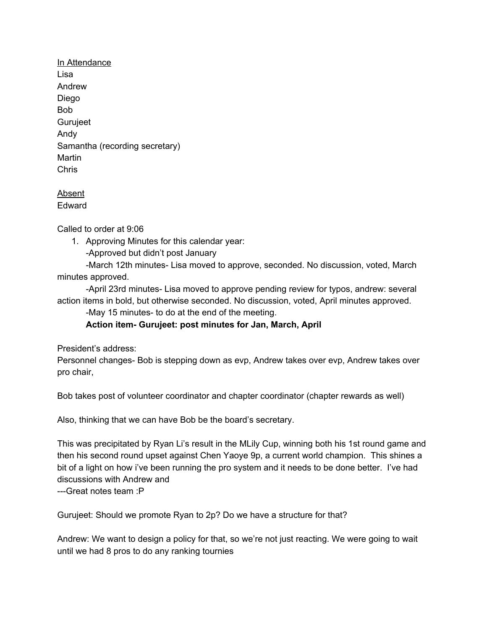In Attendance Lisa Andrew Diego Bob Gurujeet Andy Samantha (recording secretary) Martin Chris

## Absent Edward

Called to order at 9:06

1. Approving Minutes for this calendar year:

-Approved but didn't post January

-March 12th minutes- Lisa moved to approve, seconded. No discussion, voted, March minutes approved.

-April 23rd minutes- Lisa moved to approve pending review for typos, andrew: several action items in bold, but otherwise seconded. No discussion, voted, April minutes approved.

-May 15 minutes- to do at the end of the meeting.

**Action item- Gurujeet: post minutes for Jan, March, April**

President's address:

Personnel changes- Bob is stepping down as evp, Andrew takes over evp, Andrew takes over pro chair,

Bob takes post of volunteer coordinator and chapter coordinator (chapter rewards as well)

Also, thinking that we can have Bob be the board's secretary.

This was precipitated by Ryan Li's result in the MLily Cup, winning both his 1st round game and then his second round upset against Chen Yaoye 9p, a current world champion. This shines a bit of a light on how i've been running the pro system and it needs to be done better. I've had discussions with Andrew and ---Great notes team :P

Gurujeet: Should we promote Ryan to 2p? Do we have a structure for that?

Andrew: We want to design a policy for that, so we're not just reacting. We were going to wait until we had 8 pros to do any ranking tournies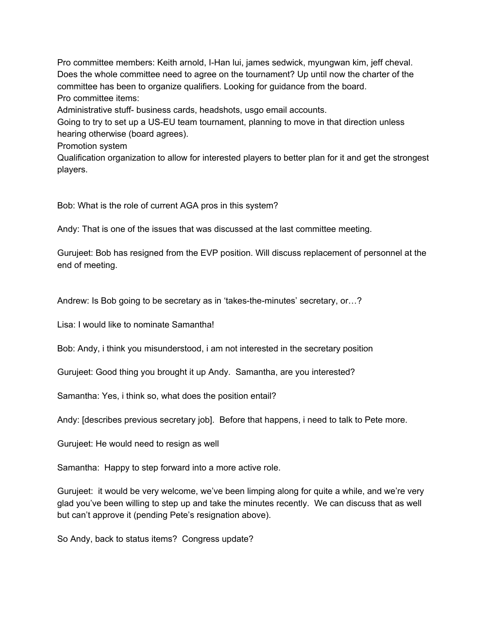Pro committee members: Keith arnold, I-Han lui, james sedwick, myungwan kim, jeff cheval. Does the whole committee need to agree on the tournament? Up until now the charter of the committee has been to organize qualifiers. Looking for guidance from the board. Pro committee items:

Administrative stuff- business cards, headshots, usgo email accounts.

Going to try to set up a US-EU team tournament, planning to move in that direction unless hearing otherwise (board agrees).

Promotion system

Qualification organization to allow for interested players to better plan for it and get the strongest players.

Bob: What is the role of current AGA pros in this system?

Andy: That is one of the issues that was discussed at the last committee meeting.

Gurujeet: Bob has resigned from the EVP position. Will discuss replacement of personnel at the end of meeting.

Andrew: Is Bob going to be secretary as in 'takes-the-minutes' secretary, or…?

Lisa: I would like to nominate Samantha!

Bob: Andy, i think you misunderstood, i am not interested in the secretary position

Gurujeet: Good thing you brought it up Andy. Samantha, are you interested?

Samantha: Yes, i think so, what does the position entail?

Andy: [describes previous secretary job]. Before that happens, i need to talk to Pete more.

Gurujeet: He would need to resign as well

Samantha: Happy to step forward into a more active role.

Gurujeet: it would be very welcome, we've been limping along for quite a while, and we're very glad you've been willing to step up and take the minutes recently. We can discuss that as well but can't approve it (pending Pete's resignation above).

So Andy, back to status items? Congress update?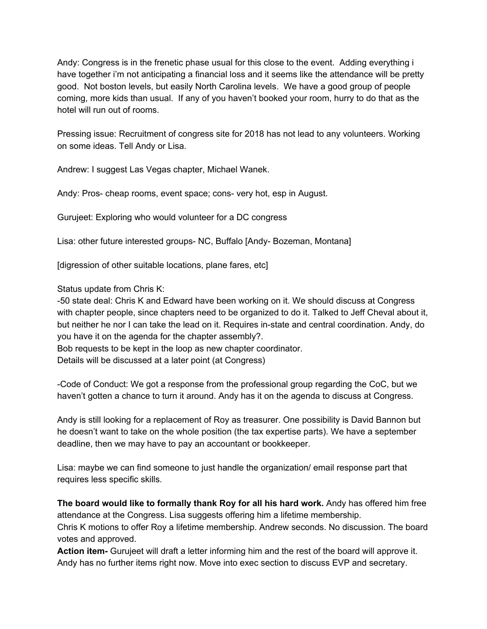Andy: Congress is in the frenetic phase usual for this close to the event. Adding everything i have together i'm not anticipating a financial loss and it seems like the attendance will be pretty good. Not boston levels, but easily North Carolina levels. We have a good group of people coming, more kids than usual. If any of you haven't booked your room, hurry to do that as the hotel will run out of rooms.

Pressing issue: Recruitment of congress site for 2018 has not lead to any volunteers. Working on some ideas. Tell Andy or Lisa.

Andrew: I suggest Las Vegas chapter, Michael Wanek.

Andy: Pros- cheap rooms, event space; cons- very hot, esp in August.

Gurujeet: Exploring who would volunteer for a DC congress

Lisa: other future interested groups- NC, Buffalo [Andy- Bozeman, Montana]

[digression of other suitable locations, plane fares, etc]

Status update from Chris K:

-50 state deal: Chris K and Edward have been working on it. We should discuss at Congress with chapter people, since chapters need to be organized to do it. Talked to Jeff Cheval about it, but neither he nor I can take the lead on it. Requires in-state and central coordination. Andy, do you have it on the agenda for the chapter assembly?.

Bob requests to be kept in the loop as new chapter coordinator.

Details will be discussed at a later point (at Congress)

-Code of Conduct: We got a response from the professional group regarding the CoC, but we haven't gotten a chance to turn it around. Andy has it on the agenda to discuss at Congress.

Andy is still looking for a replacement of Roy as treasurer. One possibility is David Bannon but he doesn't want to take on the whole position (the tax expertise parts). We have a september deadline, then we may have to pay an accountant or bookkeeper.

Lisa: maybe we can find someone to just handle the organization/ email response part that requires less specific skills.

**The board would like to formally thank Roy for all his hard work.** Andy has offered him free attendance at the Congress. Lisa suggests offering him a lifetime membership. Chris K motions to offer Roy a lifetime membership. Andrew seconds. No discussion. The board votes and approved.

**Action item-** Gurujeet will draft a letter informing him and the rest of the board will approve it. Andy has no further items right now. Move into exec section to discuss EVP and secretary.